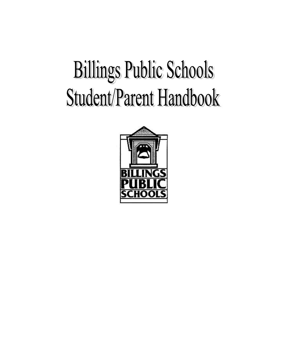# **Billings Public Schools** Student/Parent Handbook

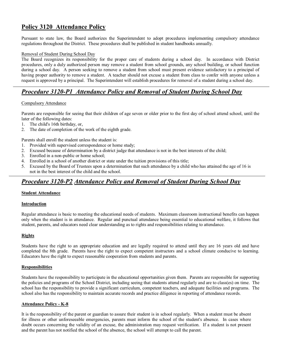# **Policy 3120 Attendance Policy**

Pursuant to state law, the Board authorizes the Superintendent to adopt procedures implementing compulsory attendance regulations throughout the District. These procedures shall be published in student handbooks annually.

#### Removal of Student During School Day

The Board recognizes its responsibility for the proper care of students during a school day. In accordance with District procedures, only a duly authorized person may remove a student from school grounds, any school building, or school function during a school day. A person seeking to remove a student from school must present evidence satisfactory to a principal of having proper authority to remove a student. A teacher should not excuse a student from class to confer with anyone unless a request is approved by a principal. The Superintendent will establish procedures for removal of a student during a school day.

# *Procedure* 3120-P1 *Attendance Policy and Removal of Student During School Day*

#### Compulsory Attendance

Parents are responsible for seeing that their children of age seven or older prior to the first day of school attend school, until the later of the following dates:

- 1. The child's 16th birthday, or,
- 2. The date of completion of the work of the eighth grade.

Parents shall enroll the student unless the student is:

- 1. Provided with supervised correspondence or home study;
- 2. Excused because of determination by a district judge that attendance is not in the best interests of the child;
- 3. Enrolled in a non-public or home school;
- 4. Enrolled in a school of another district or state under the tuition provisions of this title;
- 5. Excused by the Board of Trustees upon a determination that such attendance by a child who has attained the age of 16 is not in the best interest of the child and the school.

## *Procedure* 3120-P2 Attendance Policy and Removal of Student During School Day

#### **Student Attendance**

#### **Introduction**

Regular attendance is basic to meeting the educational needs of students. Maximum classroom instructional benefits can happen only when the student is in attendance. Regular and punctual attendance being essential to educational welfare, it follows that student, parents, and educators need clear understanding as to rights and responsibilities relating to attendance.

#### **Rights**

Students have the right to an appropriate education and are legally required to attend until they are 16 years old and have completed the 8th grade. Parents have the right to expect competent instructors and a school climate conducive to learning. Educators have the right to expect reasonable cooperation from students and parents.

#### **Responsibilities**

Students have the responsibility to participate in the educational opportunities given them. Parents are responsible for supporting the policies and programs of the School District, including seeing that students attend regularly and are to class(es) on time. The school has the responsibility to provide a significant curriculum, competent teachers, and adequate facilities and programs. The school also has the responsibility to maintain accurate records and practice diligence in reporting of attendance records.

#### **Attendance Policy - K-8**

It is the responsibility of the parent or guardian to assure their student is in school regularly. When a student must be absent for illness or other unforeseeable emergencies, parents must inform the school of the student's absence. In cases where doubt occurs concerning the validity of an excuse, the administration may request verification. If a student is not present and the parent has not notified the school of the absence, the school will attempt to call the parent.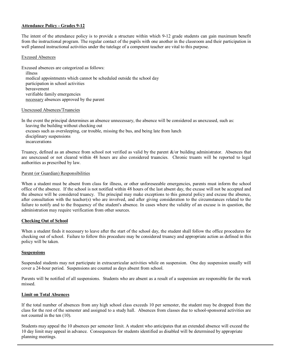#### **Attendance Policy Grades 912**

The intent of the attendance policy is to provide a structure within which 912 grade students can gain maximum benefit from the instructional program. The regular contact of the pupils with one another in the classroom and their participation in well planned instructional activities under the tutelage of a competent teacher are vital to this purpose.

#### Excused Absences

Excused absences are categorized as follows: illness medical appointments which cannot be scheduled outside the school day participation in school activities bereavement verifiable family emergencies necessary absences approved by the parent

#### Unexcused Absences/Truancies

In the event the principal determines an absence unnecessary, the absence will be considered as unexcused, such as: leaving the building without checking out excuses such as oversleeping, car trouble, missing the bus, and being late from lunch disciplinary suspensions incarcerations

Truancy, defined as an absence from school not verified as valid by the parent &/or building administrator. Absences that are unexcused or not cleared within 48 hours are also considered truancies. Chronic truants will be reported to legal authorities as prescribed by law.

#### Parent (or Guardian) Responsibilities

When a student must be absent from class for illness, or other unforeseeable emergencies, parents must inform the school office of the absence. If the school is not notified within 48 hours of the last absent day, the excuse will not be accepted and the absence will be considered truancy. The principal may make exceptions to this general policy and excuse the absence, after consultation with the teacher(s) who are involved, and after giving consideration to the circumstances related to the failure to notify and to the frequency of the student's absence. In cases where the validity of an excuse is in question, the administration may require verification from other sources.

#### **Checking Out of School**

When a student finds it necessary to leave after the start of the school day, the student shall follow the office procedures for checking out of school. Failure to follow this procedure may be considered truancy and appropriate action as defined in this policy will be taken.

#### **Suspensions**

Suspended students may not participate in extracurricular activities while on suspension. One day suspension usually will cover a 24hour period. Suspensions are counted as days absent from school.

Parents will be notified of all suspensions. Students who are absent as a result of a suspension are responsible for the work missed.

#### **Limit on Total Absences**

If the total number of absences from any high school class exceeds 10 per semester, the student may be dropped from the class for the rest of the semester and assigned to a study hall. Absences from classes due to school-sponsored activities are not counted in the ten (10).

Students may appeal the 10 absences per semester limit. A student who anticipates that an extended absence will exceed the 10 day limit may appeal in advance. Consequences for students identified as disabled will be determined by appropriate planning meetings.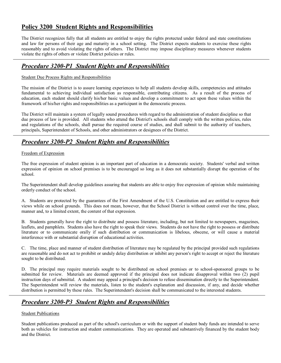# **Policy 3200 Student Rights and Responsibilities**

The District recognizes fully that all students are entitled to enjoy the rights protected under federal and state constitutions and law for persons of their age and maturity in a school setting. The District expects students to exercise these rights reasonably and to avoid violating the rights of others. The District may impose disciplinary measures whenever students violate the rights of others or violate District policies or rules.

# **Procedure** 3200-P1 Student Rights and Responsibilities

#### Student Due Process Rights and Responsibilities

The mission of the District is to assure learning experiences to help all students develop skills, competencies and attitudes fundamental to achieving individual satisfaction as responsible, contributing citizens. As a result of the process of education, each student should clarify his/her basic values and develop a commitment to act upon these values within the framework of his/her rights and responsibilities as a participant in the democratic process.

The District will maintain a system of legally sound procedures with regard to the administration of student discipline so that due process of law is provided. All students who attend the District's schools shall comply with the written policies, rules and regulations of the schools, shall pursue the required course of studies, and shall submit to the authority of teachers, principals, Superintendent of Schools, and other administrators or designees of the District.

# *Procedure* 3200-P2 Student Rights and Responsibilities

#### Freedom of Expression

The free expression of student opinion is an important part of education in a democratic society. Students' verbal and written expression of opinion on school premises is to be encouraged so long as it does not substantially disrupt the operation of the school.

The Superintendent shall develop guidelines assuring that students are able to enjoy free expression of opinion while maintaining orderly conduct of the school.

A. Students are protected by the guarantees of the First Amendment of the U.S. Constitution and are entitled to express their views while on school grounds. This does not mean, however, that the School District is without control over the time, place, manner and, to a limited extent, the content of that expression.

B. Students generally have the right to distribute and possess literature, including, but not limited to newspapers, magazines, leaflets, and pamphlets. Students also have the right to speak their views. Students do not have the right to possess or distribute literature or to communicate orally if such distribution or communication is libelous, obscene, or will cause a material interference with or substantial disruption of educational activities.

C. The time, place and manner of student distribution of literature may be regulated by the principal provided such regulations are reasonable and do not act to prohibit or unduly delay distribution or inhibit any person's right to accept or reject the literature sought to be distributed.

D. The principal may require materials sought to be distributed on school premises or to school-sponsored groups to be submitted for review. Materials are deemed approved if the principal does not indicate disapproval within two (2) pupil instruction days of submittal. A student may appeal a principal's decision to refuse dissemination directly to the Superintendent. The Superintendent will review the materials, listen to the student's explanation and discussion, if any, and decide whether distribution is permitted by these rules. The Superintendent's decision shall be communicated to the interested students.

# *Procedure* 3200-P3 Student Rights and Responsibilities

#### Student Publications

Student publications produced as part of the school's curriculum or with the support of student body funds are intended to serve both as vehicles for instruction and student communications. They are operated and substantively financed by the student body and the District.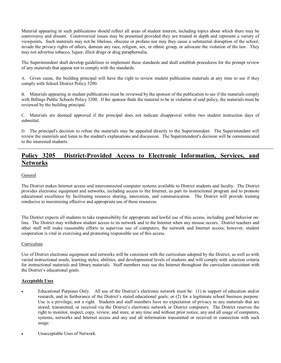Material appearing in such publications should reflect all areas of student interest, including topics about which there may be controversy and dissent. Controversial issues may be presented provided they are treated in depth and represent a variety of viewpoints. Such materials may not be libelous, obscene or profane nor may they cause a substantial disruption of the school, invade the privacy rights of others, demean any race, religion, sex, or ethnic group, or advocate the violation of the law. They may not advertise tobacco, liquor, illicit drugs or drug paraphernalia.

The Superintendent shall develop guidelines to implement these standards and shall establish procedures for the prompt review of any materials that appear not to comply with the standards.

A. Given cause, the building principal will have the right to review student publication materials at any time to see if they comply with School District Policy 3200.

B. Materials appearing in student publications must be reviewed by the sponsor of the publication to see if the materials comply with Billings Public Schools Policy 3200. If the sponsor finds the material to be in violation of said policy, the materials must be reviewed by the building principal.

C. Materials are deemed approved if the principal does not indicate disapproval within two student instruction days of submittal.

D. The principal's decision to refuse the materials may be appealed directly to the Superintendent. The Superintendent will review the materials and listen to the student's explanations and discussion. The Superintendent's decision will be communicated to the interested students.

## **Policy** 3205 District-Provided Access to Electronic Information, Services, and **Networks**

#### General

The District makes Internet access and interconnected computer systems available to District students and faculty. The District provides electronic equipment and networks, including access to the Internet, as part its instructional program and to promote educational excellence by facilitating resource sharing, innovation, and communication. The District will provide training conducive to maximizing effective and appropriate use of these resources.

The District expects all students to take responsibility for appropriate and lawful use of this access, including good behavior on line. The District may withdraw student access to its network and to the Internet when any misuse occurs. District teachers and other staff will make reasonable efforts to supervise use of computers, the network and Internet access; however, student cooperation is vital in exercising and promoting responsible use of this access.

#### Curriculum

Use of District electronic equipment and networks will be consistent with the curriculum adopted by the District, as well as with varied instructional needs, learning styles, abilities, and developmental levels of students and will comply with selection criteria for instructional materials and library materials. Staff members may use the Internet throughout the curriculum consistent with the District's educational goals.

#### **Acceptable Uses**

- Educational Purposes Only. All use of the District's electronic network must be: (1) in support of education and/or research, and in furtherance of the District's stated educational goals; or (2) for a legitimate school business purpose. Use is a privilege, not a right. Students and staff members have no expectation of privacy in any materials that are stored, transmitted, or received via the District's electronic network or District computers. The District reserves the right to monitor, inspect, copy, review, and store, at any time and without prior notice, any and all usage of computers, systems, networks and Internet access and any and all information transmitted or received in connection with such usage.
- Unacceptable Uses of Network.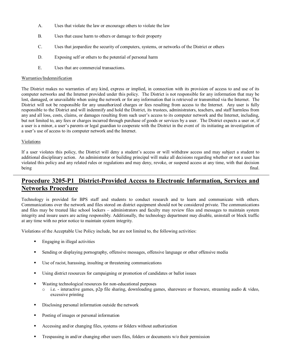- A. Uses that violate the law or encourage others to violate the law
- B. Uses that cause harm to others or damage to their property
- C. Uses that jeopardize the security of computers, systems, or networks of the District or others
- D. Exposing self or others to the potential of personal harm
- E. Uses that are commercial transactions.

#### Warranties/Indemnification

The District makes no warranties of any kind, express or implied, in connection with its provision of access to and use of its computer networks and the Internet provided under this policy. The District is not responsible for any information that may be lost, damaged, or unavailable when using the network or for any information that is retrieved or transmitted via the Internet. The District will not be responsible for any unauthorized charges or fees resulting from access to the Internet. Any user is fully responsible to the District and will indemnify and hold the District, its trustees, administrators, teachers, and staff harmless from any and all loss, costs, claims, or damages resulting from such user's access to its computer network and the Internet, including, but not limited to, any fees or charges incurred through purchase of goods or services by a user. The District expects a user or, if a user is a minor, a user's parents or legal guardian to cooperate with the District in the event of its initiating an investigation of a user's use of access to its computer network and the Internet.

#### Violations

If a user violates this policy, the District will deny a student's access or will withdraw access and may subject a student to additional disciplinary action. An administrator or building principal will make all decisions regarding whether or not a user has violated this policy and any related rules or regulations and may deny, revoke, or suspend access at any time, with that decision being final.

# **Procedure** 3205-P1 District-Provided Access to Electronic Information, Services and **Networks Procedure**

Technology is provided for BPS staff and students to conduct research and to learn and communicate with others. Communications over the network and files stored on district equipment should not be considered private. The communications and files may be treated like school lockers – administrators and faculty may review files and messages to maintain system integrity and insure users are acting responsibly. Additionally, the technology department may disable, uninstall or block traffic at any time with no prior notice to maintain system integrity.

Violations of the Acceptable Use Policy include, but are not limited to, the following activities:

- ß Engaging in illegal activities
- **•** Sending or displaying pornography, offensive messages, offensive language or other offensive media
- $\blacksquare$  Use of racist, harassing, insulting or threatening communications
- ß Using district resources for campaigning or promotion of candidates or ballot issues
- Wasting technological resources for non-educational purposes
	- $\circ$  i.e. interactive games, p2p file sharing, downloading games, shareware or freeware, streaming audio & video, excessive printing
- **•** Disclosing personal information outside the network
- ß Posting of images or personal information
- ß Accessing and/or changing files, systems or folders without authorization
- ß Trespassing in and/or changing other users files, folders or documents w/o their permission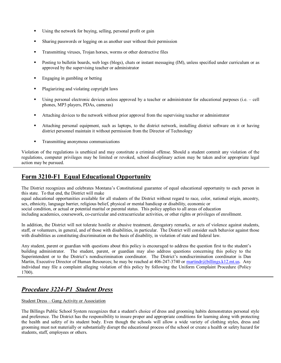- Using the network for buying, selling, personal profit or gain
- **Sharing passwords or logging on as another user without their permission**
- ß Transmitting viruses, Trojan horses, worms or other destructive files
- ß Posting to bulletin boards, web logs (blogs), chats or instant messaging (IM), unless specified under curriculum or as approved by the supervising teacher or administrator
- **Engaging in gambling or betting**
- ß Plagiarizing and violating copyright laws
- Using personal electronic devices unless approved by a teacher or administrator for educational purposes (i.e. cell phones, MP3 players, PDAs, cameras)
- ß Attaching devices to the network without prior approval from the supervising teacher or administrator
- ß Attaching personal equipment, such as laptops, to the district network, installing district software on it or having district personnel maintain it without permission from the Director of Technology
- **Transmitting anonymous communications**

Violation of the regulations is unethical and may constitute a criminal offense. Should a student commit any violation of the regulations, computer privileges may be limited or revoked, school disciplinary action may be taken and/or appropriate legal action may be pursued.

# **Form 3210-F1 Equal Educational Opportunity**

The District recognizes and celebrates Montana's Constitutional guarantee of equal educational opportunity to each person in this state. To that end, the District will make

equal educational opportunities available for all students of the District without regard to race, color, national origin, ancestry, sex, ethnicity, language barrier, religious belief, physical or mental handicap or disability, economic or

social condition, or actual or potential marital or parental status. This policy applies to all areas of education

including academics, coursework, cocurricular and extracurricular activities, or other rights or privileges of enrollment.

In addition, the District will not tolerate hostile or abusive treatment, derogatory remarks, or acts of violence against students, staff, or volunteers, in general, and of those with disabilities, in particular. The District will consider such behavior against those with disabilities as constituting discrimination on the basis of disability, in violation of state and federal law.

Any student, parent or guardian with questions about this policy is encouraged to address the question first to the student's building administrator. The student, parent, or guardian may also address questions concerning this policy to the Superintendent or to the District's nondiscrimination coordinator. The District's nondiscrimination coordinator is Dan Martin, Executive Director of Human Resources; he may be reached at 406-247-3740 or [martindr@billings.k12.mt.us.](mailto:weldonj@billings.k12.mt.us) Any individual may file a complaint alleging violation of this policy by following the Uniform Complaint Procedure (Policy 1700).

# *Procedure 3224P1 Student Dress*

#### Student Dress – Gang Activity or Association

The Billings Public School System recognizes that a student's choice of dress and grooming habits demonstrates personal style and preference. The District has the responsibility to insure proper and appropriate conditions for learning along with protecting the health and safety of its student body. Even though the schools will allow awide variety of clothing styles, dress and grooming must not materially or substantially disrupt the educational process of the school or create a health or safety hazard for students, staff, employees or others.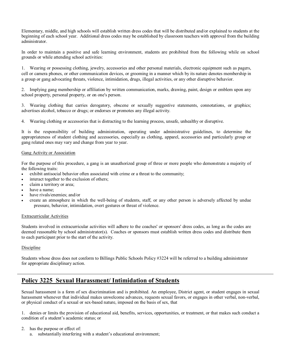Elementary, middle, and high schools will establish written dress codes that will be distributed and/or explained to students at the beginning of each school year. Additional dress codes may be established by classroom teachers with approval from the building administrator.

In order to maintain a positive and safe learning environment, students are prohibited from the following while on school grounds or while attending school activities:

1. Wearing or possessing clothing, jewelry, accessories and other personal materials, electronic equipment such as pagers, cell or camera phones, or other communication devices, or grooming in a manner which by its nature denotes membership in a group or gang advocating threats, violence, intimidation, drugs, illegal activities, or any other disruptive behavior.

2. Implying gang membership or affiliation by written communication, marks, drawing, paint, design or emblem upon any school property, personal property, or on one's person.

3. Wearing clothing that carries derogatory, obscene or sexually suggestive statements, connotations, or graphics; advertises alcohol, tobacco or drugs; or endorses or promotes any illegal activity.

4. Wearing clothing or accessories that is distracting to the learning process, unsafe, unhealthy or disruptive.

It is the responsibility of building administration, operating under administrative guidelines, to determine the appropriateness of student clothing and accessories, especially as clothing, apparel, accessories and particularly group or gang related ones may vary and change from year to year.

#### Gang Activity or Association

For the purpose of this procedure, a gang is an unauthorized group of three or more people who demonstrate a majority of the following traits:

- exhibit antisocial behavior often associated with crime or a threat to the community;
- interact together to the exclusion of others;
- claim a territory or area;
- have a name;
- have rivals/enemies; and/or
- create an atmosphere in which the well-being of students, staff, or any other person is adversely affected by undue pressure, behavior, intimidation, overt gestures or threat of violence.

#### Extracurricular Activities

Students involved in extracurricular activities will adhere to the coaches' or sponsors' dress codes, as long as the codes are deemed reasonable by school administrator(s). Coaches or sponsors must establish written dress codes and distribute them to each participant prior to the start of the activity.

#### Discipline

Students whose dress does not conform to Billings Public Schools Policy #3224 will be referred to a building administrator for appropriate disciplinary action.

# **Policy 3225 Sexual Harassment/ Intimidation of Students**

Sexual harassment is a form of sex discrimination and is prohibited. An employee, District agent, or student engages in sexual harassment whenever that individual makes unwelcome advances, requests sexual favors, or engages in other verbal, non-verbal, or physical conduct of a sexual or sex-based nature, imposed on the basis of sex, that

1. denies or limits the provision of educational aid, benefits, services, opportunities, or treatment, or that makes such conduct a condition of a student's academic status; or

- 2. has the purpose or effect of:
	- a. substantially interfering with a student's educational environment;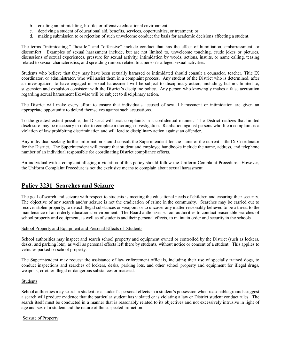- b. creating an intimidating, hostile, or offensive educational environment;
- c. depriving a student of educational aid, benefits, services, opportunities, or treatment; or
- d. making submission to or rejection of such unwelcome conduct the basis for academic decisions affecting a student.

The terms "intimidating," "hostile," and "offensive" include conduct that has the effect of humiliation, embarrassment, or discomfort. Examples of sexual harassment include, but are not limited to, unwelcome touching, crude jokes or pictures, discussions of sexual experiences, pressure for sexual activity, intimidation by words, actions, insults, or name calling, teasing related to sexual characteristics, and spreading rumors related to a person's alleged sexual activities.

Students who believe that they may have been sexually harassed or intimidated should consult a counselor, teacher, Title IX coordinator, or administrator, who will assist them in a complaint process. Any student of the District who is determined, after an investigation, to have engaged in sexual harassment will be subject to disciplinary action, including, but not limited to, suspension and expulsion consistent with the District's discipline policy. Any person who knowingly makes a false accusation regarding sexual harassment likewise will be subject to disciplinary action.

The District will make every effort to ensure that individuals accused of sexual harassment or intimidation are given an appropriate opportunity to defend themselves against such accusations.

To the greatest extent possible, the District will treat complaints in a confidential manner. The District realizes that limited disclosure may be necessary in order to complete a thorough investigation. Retaliation against persons who file a complaint is a violation of law prohibiting discrimination and will lead to disciplinary action against an offender.

Any individual seeking further information should consult the Superintendent for the name of the current Title IX Coordinator for the District. The Superintendent will ensure that student and employee handbooks include the name, address, and telephone number of an individual responsible for coordinating District compliance efforts.

An individual with a complaint alleging a violation of this policy should follow the Uniform Complaint Procedure. However, the Uniform Complaint Procedure is not the exclusive means to complain about sexual harassment.

## **Policy 3231 Searches and Seizure**

The goal of search and seizure with respect to students is meeting the educational needs of children and ensuring their security. The objective of any search and/or seizure is not the eradication of crime in the community. Searches may be carried out to recover stolen property, to detect illegal substances or weapons or to uncover any matter reasonably believed to be a threat to the maintenance of an orderly educational environment. The Board authorizes school authorities to conduct reasonable searches of school property and equipment, as well as of students and their personal effects, to maintain order and security in the schools

#### School Property and Equipment and Personal Effects of Students

School authorities may inspect and search school property and equipment owned or controlled by the District (such as lockers, desks, and parking lots), as well as personal effects left there by students, without notice or consent of a student. This applies to vehicles parked on school property.

The Superintendent may request the assistance of law enforcement officials, including their use of specially trained dogs, to conduct inspections and searches of lockers, desks, parking lots, and other school property and equipment for illegal drugs, weapons, or other illegal or dangerous substances or material.

#### Students

School authorities may search a student or a student's personal effects in a student's possession when reasonable grounds suggest a search will produce evidence that the particular student has violated or is violating a law or District student conduct rules. The search itself must be conducted in a manner that is reasonably related to its objectives and not excessively intrusive in light of age and sex of a student and the nature of the suspected infraction.

#### Seizure of Property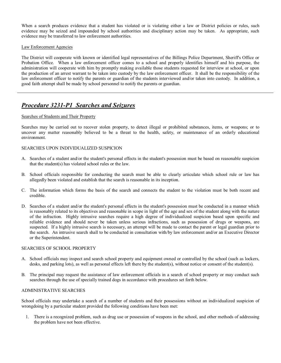When a search produces evidence that a student has violated or is violating either a law or District policies or rules, such evidence may be seized and impounded by school authorities and disciplinary action may be taken. As appropriate, such evidence may be transferred to law enforcement authorities.

#### Law Enforcement Agencies

The District will cooperate with known or identified legal representatives of the Billings Police Department, Sheriff's Office or Probation Office. When a law enforcement officer comes to a school and properly identifies himself and his purpose, the administration will cooperate with him by promptly making available those students requested for interview at school, or upon the production of an arrest warrant to be taken into custody by the law enforcement officer. It shall be the responsibility of the law enforcement officer to notify the parents or guardian of the students interviewed and/or taken into custody. In addition, a good faith attempt shall be made by school personnel to notify the parents or guardian.

## *Procedure 3231P1 Searches and Seizures*

#### Searches of Students and Their Property

Searches may be carried out to recover stolen property, to detect illegal or prohibited substances, items, or weapons; or to uncover any matter reasonably believed to be a threat to the health, safety, or maintenance of an orderly educational environment.

#### SEARCHES UPON INDIVIDUALIZED SUSPICION

- A. Searches of a student and/or the student's personal effects in the student's possession must be based on reasonable suspicion that the student(s) has violated school rules or the law.
- B. School officials responsible for conducting the search must be able to clearly articulate which school rule or law has allegedly been violated and establish that the search is reasonable in its inception.
- C. The information which forms the basis of the search and connects the student to the violation must be both recent and credible.
- D. Searches of a student and/or the student's personal effects in the student's possession must be conducted in a manner which is reasonably related to its objectives and reasonable in scope in light of the age and sex of the student along with the nature of the infraction. Highly intrusive searches require a high degree of individualized suspicion based upon specific and reliable evidence and should never be taken unless serious infractions, such as possession of drugs or weapons, are suspected. If a highly intrusive search is necessary, an attempt will be made to contact the parent or legal guardian prior to the search. An intrusive search shall to be conducted in consultation with/by law enforcement and/or an Executive Director or the Superintendent.

#### SEARCHES OF SCHOOL PROPERTY

- A. School officials may inspect and search school property and equipment owned or controlled by the school (such as lockers, desks, and parking lots), as well as personal effects left there by the student(s), without notice or consent of the student(s).
- B. The principal may request the assistance of law enforcement officials in a search of school property or may conduct such searches through the use of specially trained dogs in accordance with procedures set forth below.

#### ADMINISTRATIVE SEARCHES

School officials may undertake a search of a number of students and their possessions without an individualized suspicion of wrongdoing by a particular student provided the following conditions have been met:

1. There is a recognized problem, such as drug use or possession of weapons in the school, and other methods of addressing the problem have not been effective.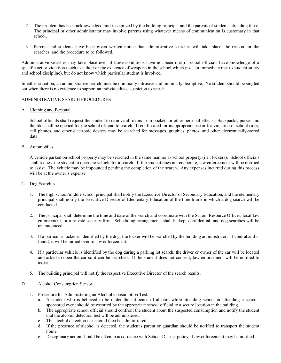- 2. The problem has been acknowledged and recognized by the building principal and the parents of students attending there. The principal or other administrator may involve parents using whatever means of communication is customary in that school.
- 3. Parents and students have been given written notice that administrative searches will take place, the reason for the searches, and the procedure to be followed.

Administrative searches may take place even if these conditions have not been met if school officials have knowledge of a specific act or violation (such as a theft or the existence of weapons in the school which pose an immediate risk to student safety and school discipline), but do not know which particular student is involved.

In either situation, an administrative search must be minimally intrusive and minimally disruptive. No student should be singled out when there is no evidence to support an individualized suspicion to search.

#### ADMINISTRATIVE SEARCH PROCEDURES

#### A. Clothing and Personal

School officials shall request the student to remove all items from pockets or other personal effects. Backpacks, purses and the like shall be opened for the school official to search. If confiscated for inappropriate use or for violation of school rules, cell phones, and other electronic devices may be searched for messages, graphics, photos, and other electronically-stored data.

#### B. Automobiles

A vehicle parked on school property may be searched in the same manner as school property (i.e., lockers). School officials shall request the student to open the vehicle for a search. If the student does not cooperate, law enforcement will be notified to assist. The vehicle may be impounded pending the completion of the search. Any expenses incurred during this process will be at the owner's expense.

#### C. Dog Searches

- 1. The high school/middle school principal shall notify the Executive Director of Secondary Education, and the elementary principal shall notify the Executive Director of Elementary Education of the time frame in which a dog search will be conducted.
- 2. The principal shall determine the time and date of the search and coordinate with the School Resource Officer, local law enforcement, or a private security firm. Scheduling arrangements shall be kept confidential, and dog searches will be unannounced.
- 3. If a particular locker is identified by the dog, the locker will be searched by the building administrator. If contraband is found, it will be turned over to law enforcement.
- 4. If a particular vehicle is identified by the dog during a parking lot search, the driver or owner of the car will be located and asked to open the car so it can be searched. If the student does not consent, law enforcement will be notified to assist.
- 5. The building principal will notify the respective Executive Director of the search results.

#### D. Alcohol Consumption Sensor

- 1. Procedure for Administering an Alcohol Consumption Test:
	- a. A student who is believed to be under the influence of alcohol while attending school or attending a school sponsored event should be escorted by the appropriate school official to a secure location in the building.
	- b. The appropriate school official should confront the student about the suspected consumption and notify the student that the alcohol detection test will be administered.
	- c. The alcohol detection test should then be administered.
	- d. If the presence of alcohol is detected, the student's parent or guardian should be notified to transport the student home.
	- e. Disciplinary action should be taken in accordance with School District policy. Law enforcement may be notified.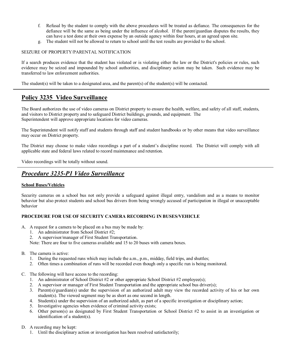- f. Refusal by the student to comply with the above procedures will be treated as defiance. The consequences for the defiance will be the same as being under the influence of alcohol. If the parent/guardian disputes the results, they can have a test done at their own expense by an outside agency within four hours, at an agreed upon site.
- g. The student will not be allowed to return to school until the test results are provided to the school.

#### SEIZURE OF PROPERTY/PARENTAL NOTIFICATION

If a search produces evidence that the student has violated or is violating either the law or the District's policies or rules, such evidence may be seized and impounded by school authorities, and disciplinary action may be taken. Such evidence may be transferred to law enforcement authorities.

The student(s) will be taken to a designated area, and the parent(s) of the student(s) will be contacted.

# **Policy 3235 Video Surveillance**

The Board authorizes the use of video cameras on District property to ensure the health, welfare, and safety of all staff, students, and visitors to District property and to safeguard District buildings, grounds, and equipment. The Superintendent will approve appropriate locations for video cameras.

The Superintendent will notify staff and students through staff and student handbooks or by other means that video surveillance may occur on District property.

The District may choose to make video recordings a part of a student's discipline record. The District will comply with all applicable state and federal laws related to record maintenance and retention.

Video recordings will be totally without sound.

# *Procedure 3235P1 Video Surveillance*

#### **School Buses/Vehicles**

Security cameras on a school bus not only provide a safeguard against illegal entry, vandalism and as a means to monitor behavior but also protect students and school bus drivers from being wrongly accused of participation in illegal or unacceptable behavior

#### **PROCEDURE FOR USE OF SECURITY CAMERA RECORDING IN BUSES/VEHICLE**

- A. A request for a camera to be placed on a bus may be made by:
	- 1. An administrator from School District #2;
	- 2. A supervisor/manager of First Student Transportation.

Note: There are four to five cameras available and 15 to 20 buses with camera boxes.

- B. The camera is active:
	- 1. During the requested runs which may include the a.m., p.m., midday, field trips, and shuttles;
	- 2. Often times a combination of runs will be recorded even though only a specific run is being monitored.
- C. The following will have access to the recording:
	- 1. An administrator of School District #2 or other appropriate School District #2 employee(s);
	- 2. A supervisor or manager of First Student Transportation and the appropriate school bus driver(s);
	- 3. Parent(s)/guardian(s) under the supervision of an authorized adult may view the recorded activity of his or her own student(s). The viewed segment may be as short as one second in length.
	- 4. Student(s) under the supervision of an authorized adult, as part of a specific investigation or disciplinary action;
	- 5. Investigative agencies when evidence of criminal activity exists;
	- 6. Other person(s) as designated by First Student Transportation or School District #2 to assist in an investigation or identification of a student(s).
- D. A recording may be kept:
	- 1. Until the disciplinary action or investigation has been resolved satisfactorily;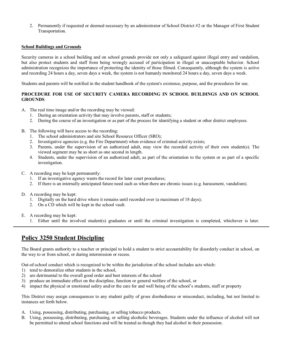2. Permanently if requested or deemed necessary by an administrator of School District #2 or the Manager of First Student Transportation.

#### **School Buildings and Grounds**

Security cameras in a school building and on school grounds provide not only a safeguard against illegal entry and vandalism, but also protect students and staff from being wrongly accused of participation in illegal or unacceptable behavior. School administration recognizes the importance of protecting the identity of those filmed. Consequently, although the system is active and recording 24 hours a day, seven days a week, the system is not humanly monitored 24 hours a day, seven days a week.

Students and parents will be notified in the student handbook of the system's existence, purpose, and the procedures for use.

#### **PROCEDURE FOR USE OF SECURITY CAMERA RECORDING IN SCHOOL BUILDINGS AND ON SCHOOL GROUNDS**

- A. The real time image and/or the recording may be viewed:
	- 1. During an orientation activity that may involve parents, staff or students;
	- 2. During the course of an investigation or as part of the process for identifying a student or other district employees.
- B. The following will have access to the recording:
	- 1. The school administrators and site School Resource Officer (SRO);
	- 2. Investigative agencies (e.g. the Fire Department) when evidence of criminal activity exists;
	- 3. Parents, under the supervision of an authorized adult, may view the recorded activity of their own student(s). The viewed segment may be as short as one second in length.
	- 4. Students, under the supervision of an authorized adult, as part of the orientation to the system or as part of a specific investigation.
- C. A recording may be kept permanently:
	- 1. If an investigative agency wants the record for later court procedures;
	- 2. If there is an internally anticipated future need such as when there are chronic issues (e.g. harassment, vandalism).
- D. A recording may be kept:
	- 1. Digitally on the hard drive where it remains until recorded over (a maximum of 18 days);
	- 2. On a CD which will be kept in the school vault.
- E. A recording may be kept:
	- 1. Either until the involved student(s) graduates or until the criminal investigation is completed, whichever is later.

## **Policy 3250 Student Discipline**

The Board grants authority to a teacher or principal to hold a student to strict accountability for disorderly conduct in school, on the way to or from school, or during intermission or recess.

Out-of-school conduct which is recognized to be within the jurisdiction of the school includes acts which:

- 1) tend to demoralize other students in the school,
- 2) are detrimental to the overall good order and best interests of the school
- 3) produce an immediate effect on the discipline, function or general welfare of the school, or
- 4) impact the physical or emotional safety and/or the care for and well being of the school's students, staff or property

This District may assign consequences to any student guilty of gross disobedience or misconduct, including, but not limited to instances set forth below.

- A. Using, possessing, distributing, purchasing, or selling tobacco products.
- B. Using, possessing, distributing, purchasing, or selling alcoholic beverages. Students under the influence of alcohol will not be permitted to attend school functions and will be treated as though they had alcohol in their possession.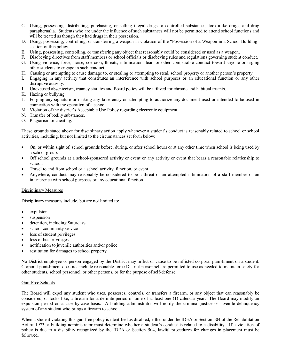- C. Using, possessing, distributing, purchasing, or selling illegal drugs or controlled substances, lookalike drugs, and drug paraphernalia. Students who are under the influence of such substances will not be permitted to attend school functions and will be treated as though they had drugs in their possession.
- D. Using, possessing, controlling, or transferring a weapon in violation of the "Possession of a Weapon in a School Building" section of this policy.
- E. Using, possessing, controlling, or transferring any object that reasonably could be considered or used as a weapon.
- F. Disobeying directives from staff members or school officials or disobeying rules and regulations governing student conduct.
- G. Using violence, force, noise, coercion, threats, intimidation, fear, or other comparable conduct toward anyone or urging other students to engage in such conduct.
- H. Causing or attempting to cause damage to, or stealing or attempting to steal, school property or another person's property.
- I. Engaging in any activity that constitutes an interference with school purposes or an educational function or any other disruptive activity.
- J. Unexcused absenteeism, truancy statutes and Board policy will be utilized for chronic and habitual truants.
- K. Hazing or bullying.
- L. Forging any signature or making any false entry or attempting to authorize any document used or intended to be used in connection with the operation of a school.
- M. Violation of the district's Acceptable Use Policy regarding electronic equipment.
- N. Transfer of bodily substances.
- O. Plagiarism or cheating.

These grounds stated above for disciplinary action apply whenever a student's conduct is reasonably related to school or school activities, including, but not limited to the circumstances set forth below:

- · On, or within sight of, school grounds before, during, or after school hours or at any other time when school is being used by a school group.
- Off school grounds at a school-sponsored activity or event or any activity or event that bears a reasonable relationship to school.
- Travel to and from school or a school activity, function, or event.
- Anywhere, conduct may reasonably be considered to be a threat or an attempted intimidation of a staff member or an interference with school purposes or any educational function

#### Disciplinary Measures

Disciplinary measures include, but are not limited to:

- expulsion
- suspension
- detention, including Saturdays
- school community service
- loss of student privileges
- loss of bus privileges
- notification to juvenile authorities and/or police
- restitution for damages to school property

No District employee or person engaged by the District may inflict or cause to be inflicted corporal punishment on a student. Corporal punishment does not include reasonable force District personnel are permitted to use as needed to maintain safety for other students, school personnel, or other persons, or for the purpose of self-defense.

#### Gun-Free Schools

The Board will expel any student who uses, possesses, controls, or transfers a firearm, or any object that can reasonably be considered, or looks like, a firearm fora definite period of time of at least one (1) calendar year. The Board may modify an expulsion period on a case-by-case basis. A building administrator will notify the criminal justice or juvenile delinquency system of any student who brings a firearm to school.

When a student violating this gun-free policy is identified as disabled, either under the IDEA or Section 504 of the Rehabilitation Act of 1973, a building administrator must determine whether a student's conduct is related to a disability. If a violation of policy is due to a disability recognized by the IDEA or Section 504, lawful procedures for changes in placement must be followed.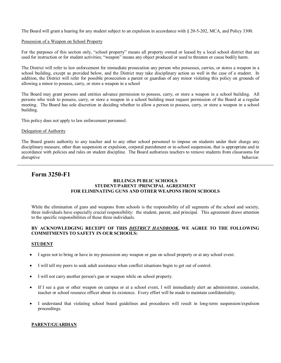The Board will grant a hearing for any student subject to an expulsion in accordance with  $\S 20-5-202$ , MCA, and Policy 3300.

#### Possession of a Weapon on School Property

For the purposes of this section only, "school property" means all property owned or leased by a local school district that are used for instruction or for student activities; "weapon" means any object produced or used to threaten or cause bodily harm.

The District will refer to law enforcement for immediate prosecution any person who possesses, carries, or stores a weapon in a school building, except as provided below, and the District may take disciplinary action as well in the case of a student. In addition, the District will refer for possible prosecution a parent or guardian of any minor violating this policy on grounds of allowing a minor to possess, carry, or store a weapon in a school

The Board may grant persons and entities advance permission to possess, carry, or store a weapon in a school building. All persons who wish to possess, carry, or store a weapon in a school building must request permission of the Board at a regular meeting. The Board has sole discretion in deciding whether to allow a person to possess, carry, or store a weapon in a school building.

This policy does not apply to law enforcement personnel.

#### Delegation of Authority

The Board grants authority to any teacher and to any other school personnel to impose on students under their charge any disciplinary measure, other than suspension or expulsion, corporal punishment or in-school suspension, that is appropriate and in accordance with policies and rules on student discipline. The Board authorizes teachers to remove students from classrooms for disruptive behavior.

## **Form 3250-F1**

#### **BILLINGS PUBLIC SCHOOLS STUDENT/PARENT /PRINCIPAL AGREEMENT FOR ELIMINATING GUNS AND OTHER WEAPONS FROM SCHOOLS**

While the elimination of guns and weapons from schools is the responsibility of all segments of the school and society, three individuals have especially crucial responsibility: the student, parent, and principal. This agreement draws attention to the specific responsibilities of those three individuals.

#### **BY ACKNOWLEDGING RECEIPT OF THIS** *DISTRICT HANDBOOK***, WE AGREE TO THE FOLLOWING COMMITMENTS TO SAFETY IN OUR SCHOOLS:**

#### **STUDENT**

- · I agree not to bring or have in my possession any weapon or gun on school property or at any school event.
- · I will tell my peers to seek adult assistance when conflict situations begin to get out of control.
- · I will not carry another person's gun or weapon while on school property.
- If I see a gun or other weapon on campus or at a school event, I will immediately alert an administrator, counselor, teacher or school resource officer about its existence. Every effort will be made to maintain confidentiality.
- I understand that violating school board guidelines and procedures will result in long-term suspension/expulsion proceedings.

#### **PARENT/GUARDIAN**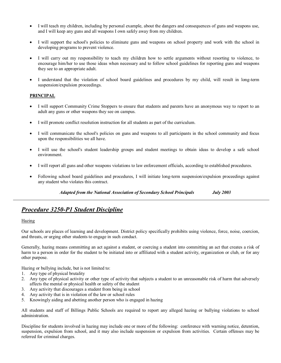- · I will teach my children, including by personal example, about the dangers and consequences of guns and weapons use, and I will keep any guns and all weapons I own safely away from my children.
- I will support the school's policies to eliminate guns and weapons on school property and work with the school in developing programs to prevent violence.
- · I will carry out my responsibility to teach my children how to settle arguments without resorting to violence, to encourage him/her to use those ideas when necessary and to follow school guidelines for reporting guns and weapons they see to an appropriate adult.
- I understand that the violation of school board guidelines and procedures by my child, will result in long-term suspension/expulsion proceedings.

#### **PRINCIPAL**

- · I will support Community Crime Stoppers to ensure that students and parents have an anonymous way to report to an adult any guns or other weapons they see on campus.
- · I will promote conflict resolution instruction for all students as part of the curriculum.
- · I will communicate the school's policies on guns and weapons to all participants in the school community and focus upon the responsibilities we all have.
- I will use the school's student leadership groups and student meetings to obtain ideas to develop a safe school environment.
- · I will report all guns and other weapons violations to law enforcement officials, according to established procedures.
- Following school board guidelines and procedures, I will initiate long-term suspension/expulsion proceedings against any student who violates this contract.

*Adapted from the National Association of Secondary School Principals July 2003* 

## *Procedure* 3250-P1 Student Discipline

#### Hazing

Our schools are places of learning and development. District policy specifically prohibits using violence, force, noise, coercion, and threats, or urging other students to engage in such conduct.

Generally, hazing means committing an act against a student, or coercing a student into committing an act that creates a risk of harm to a person in order for the student to be initiated into or affiliated with a student activity, organization or club, or for any other purpose.

Hazing or bullying include, but is not limited to:

- 1. Any type of physical brutality
- 2. Any type of physical activity or other type of activity that subjects a student to an unreasonable risk of harm that adversely affects the mental or physical health or safety of the student
- 3. Any activity that discourages a student from being in school
- 4. Any activity that is in violation of the law or school rules
- 5. Knowingly aiding and abetting another person who is engaged in hazing

All students and staff of Billings Public Schools are required to report any alleged hazing or bullying violations to school administration.

Discipline for students involved in hazing may include one or more of the following: conference with warning notice, detention, suspension, expulsion from school, and it may also include suspension or expulsion from activities. Certain offenses may be referred for criminal charges.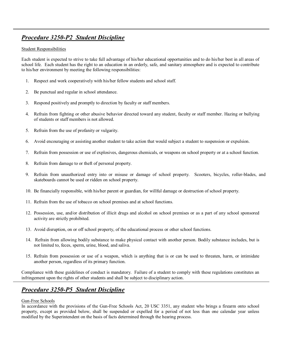# *Procedure* 3250-P2 Student Discipline

#### Student Responsibilities

Each student is expected to strive to take full advantage of his/her educational opportunities and to do his/her best in all areas of school life. Each student has the right to an education in an orderly, safe, and sanitary atmosphere and is expected to contribute to his/her environment by meeting the following responsibilities:

- 1. Respect and work cooperatively with his/her fellow students and school staff.
- 2. Be punctual and regular in school attendance.
- 3. Respond positively and promptly to direction by faculty or staff members.
- 4. Refrain from fighting or other abusive behavior directed toward any student, faculty or staff member. Hazing or bullying of students or staff members is not allowed.
- 5. Refrain from the use of profanity or vulgarity.
- 6. Avoid encouraging or assisting another student to take action that would subject a student to suspension or expulsion.
- 7. Refrain from possession or use of explosives, dangerous chemicals, or weapons on school property or at a school function.
- 8. Refrain from damage to or theft of personal property.
- 9. Refrain from unauthorized entry into or misuse or damage of school property. Scooters, bicycles, roller-blades, and skateboards cannot be used or ridden on school property.
- 10. Be financially responsible, with his/her parent or guardian, for willful damage or destruction of school property.
- 11. Refrain from the use of tobacco on school premises and at school functions.
- 12. Possession, use, and/or distribution of illicit drugs and alcohol on school premises or as a part of any school sponsored activity are strictly prohibited.
- 13. Avoid disruption, on or off school property, of the educational process or other school functions.
- 14. Refrain from allowing bodily substance to make physical contact with another person. Bodily substance includes, but is not limited to, feces, sperm, urine, blood, and saliva.
- 15. Refrain from possession or use of a weapon, which is anything that is or can be used to threaten, harm, or intimidate another person, regardless of its primary function.

Compliance with these guidelines of conduct is mandatory. Failure of a student to comply with these regulations constitutes an infringement upon the rights of other students and shall be subject to disciplinary action.

# *Procedure* 3250-P5 Student Discipline

#### Gun-Free Schools

In accordance with the provisions of the Gun-Free Schools Act, 20 USC 3351, any student who brings a firearm onto school property, except as provided below, shall be suspended or expelled for a period of not less than one calendar year unless modified by the Superintendent on the basis of facts determined through the hearing process.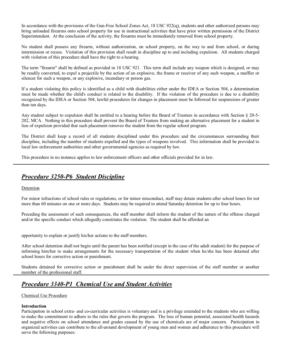In accordance with the provisions of the Gun-Free School Zones Act,  $18 \text{ USC } 922(q)$ , students and other authorized persons may bring unloaded firearms onto school property for use in instructional activities that have prior written permission of the District Superintendent. At the conclusion of the activity, the firearms must be immediately removed from school property.

No student shall possess any firearm, without authorization, on school property, on the way to and from school, or during intermission or recess. Violation of this provision shall result in discipline up to and including expulsion. All students charged with violation of this procedure shall have the right to a hearing.

The term "firearm" shall be defined as provided in 18 USC 921. This term shall include any weapon which is designed, or may be readily converted, to expel a projectile by the action of an explosive, the frame or receiver of any such weapon, a muffler or silencer for such a weapon, or any explosive, incendiary or poison gas.

If a student violating this policy is identified as a child with disabilities either under the IDEA or Section 504, a determination must be made whether the child's conduct is related to the disability. If the violation of the procedure is due to a disability recognized by the IDEA or Section 504, lawful procedures for changes in placement must be followed for suspensions of greater than ten days.

Any student subject to expulsion shall be entitled to a hearing before the Board of Trustees in accordance with Section § 20-5-202, MCA. Nothing in this procedure shall prevent the Board of Trustees from making an alternative placement for a student in lieu of expulsion provided that such placement removes the student from the regular school program.

The District shall keep a record of all students disciplined under this procedure and the circumstances surrounding their discipline, including the number of students expelled and the types of weapons involved. This information shall be provided to local law enforcement authorities and other governmental agencies as required by law.

This procedure in no instance applies to law enforcement officers and other officials provided for in law.

## **Procedure** 3250-P6 Student Discipline

#### Detention

For minor infractions of school rules or regulations, or for minor misconduct, staff may detain students after school hours for not more than 60 minutes on one or more days. Students may be required to attend Saturday detention for up to four hours.

Preceding the assessment of such consequences, the staff member shall inform the student of the nature of the offense charged and/or the specific conduct which allegedly constitutes the violation. The student shall be afforded an

opportunity to explain or justify his/her actions to the staff members.

After school detention shall not begin until the parent has been notified (except in the case of the adult student) for the purpose of informing him/her to make arrangements for the necessary transportation of the student when he/she has been detained after school hours for corrective action or punishment.

Students detained for corrective action or punishment shall be under the direct supervision of the staff member or another member of the professional staff.

# **Procedure 3340-P1 Chemical Use and Student Activities**

#### Chemical Use Procedure

#### **Introduction**

Participation in school extra- and co-curricular activities is voluntary and is a privilege extended to the students who are willing to make the commitment to adhere to the rules that govern the program. The loss of human potential, associated health hazards and negative effects on school attendance and grades caused by the use of chemicals are of major concern. Participation in organized activities can contribute to the all-around development of young men and women and adherence to this procedure will serve the following purposes: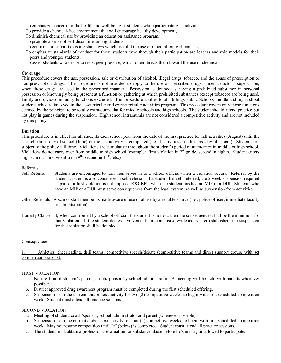To emphasize concern for the health and well-being of students while participating in activities,

- To provide a chemical-free environment that will encourage healthy development,
- To diminish chemical use by providing an education assistance program,
- To promote a sense of self-discipline among students,
- To confirm and support existing state laws which prohibit the use of mood-altering chemicals,
- To emphasize standards of conduct for those students who through their participation are leaders and role models for their peers and younger students,
- To assist students who desire to resist peer pressure, which often directs them toward the use of chemicals.

#### **Coverage**

This procedure covers the use, possession, sale or distribution of alcohol, illegal drugs, tobacco, and the abuse of prescription or non-prescription drugs. The procedure is not intended to apply to the use of prescribed drugs, under a doctor's supervision, when those drugs are used in the prescribed manner. Possession is defined as having a prohibited substance in personal possession or knowingly being present at a function or gathering at which prohibited substances (except tobacco) are being used, family and civic/community functions excluded. This procedure applies to all Billings Public Schools middle and high school students who are involved in the co-curricular and extracurricular activities program. This procedure covers only those functions deemed by the principal to be totally extra-curricular for middle schools and high schools. The student should attend practice but not play in games during the suspension. High school intramurals are not considered a competitive activity and are not included by this policy.

#### **Duration**

This procedure is in effect for all students each school year from the date of the first practice for fall activities (August) until the last scheduled day of school (June) or the last activity is completed (i.e. if activities are after last day of school). Students are subject to the policy full time. Violations are cumulative throughout the student's period of attendance in middle or high school. Violations do not carry over from middle to high school (example: first violation in  $7<sup>th</sup>$  grade, second in eighth. Student enters high school. First violation in  $9<sup>th</sup>$ , second in  $11<sup>th</sup>$ , etc.)

#### Referrals

- Self-Referral Students are encouraged to turn themselves in to a school official when a violation occurs. Referral by the student's parent is also considered a self-referral. If a student has self-referred, the 2-week suspension required as part of a first violation is not imposed **EXCEPT** when the student has had an MIP or a DUI. Students who have an MIP or a DUI must serve consequences from the legal system, as well as suspension from activities
- .Other Referrals <sup>A</sup> school staff member is made aware of use or abuse by <sup>a</sup> reliable source (i.e., police officer, immediate faculty or administration).
- Honesty Clause If, when confronted by a school official, the student is honest, then the consequences shall be the minimum for that violation. If the student denies involvement and conclusive evidence is later established, the suspension for that violation shall be doubled.

#### Consequences

Athletics, cheerleading, drill teams, competitive speech/debate (competitive teams and direct support groups with set competition seasons).

#### FIRST VIOLATION

- a. Notification of student's parent, coach/sponsor by school administrator. A meeting will be held with parents whenever possible.
- b. District approved drug awareness program must be completed during the first scheduled offering.
- c. Suspension from the current and/or next activity for two (2) competitive weeks, to begin with first scheduled competition week. Student must attend all practice sessions.

#### SECOND VIOLATION

- a. Meeting of student, coach/sponsor, school administrator and parent (whenever possible).
- b. Suspension from the current and/or next activity for four (4) competitive weeks, to begin with first scheduled competition week. May not resume competition until "c" (below) is completed. Student must attend all practice sessions.
- c. The student must obtain a professional evaluation for substance abuse before he/she is again allowed to participate.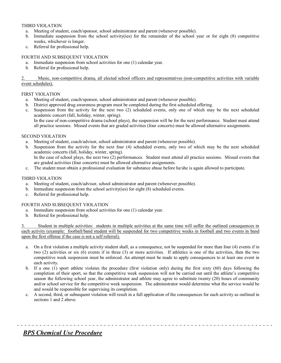#### THIRD VIOLATION

- a. Meeting of student, coach/sponsor, school administrator and parent (whenever possible).
- b. Immediate suspension from the school activity(ies) for the remainder of the school year or for eight (8) competitive weeks, whichever is longer.
- c. Referral for professional help.

#### FOURTH AND SUBSEQUENT VIOLATION

- a. Immediate suspension from school activities for one (1) calendar year.
- b. Referral for professional help.

#### 2. Music, non-competitive drama, all elected school officers and representatives (non-competitive activities with variable event schedules).

#### FIRST VIOLATION

- a. Meeting of student, coach/sponsor, school administrator and parent (whenever possible).
- b. District approved drug awareness program must be completed during the first scheduled offering.
- c. Suspension from the activity for the next two (2) scheduled events, only one of which may be the next scheduled academic concert (fall, holiday, winter, spring).

In the case of non-competitive drama (school plays), the suspension will be for the next performance. Student must attend all practice sessions. Missed events that are graded activities (four concerts) must be allowed alternative assignments.

#### SECOND VIOLATION

- a. Meeting of student, coach/advisor, school administrator and parent (whenever possible).
- b. Suspension from the activity for the next four (4) scheduled events, only two of which may be the next scheduled academic concerts (fall, holiday, winter, spring). In the case of school plays, the next two (2) performances. Student must attend all practice sessions. Missed events that
- are graded activities (four concerts) must be allowed alternative assignments.
- c. The student must obtain a professional evaluation for substance abuse before he/she is again allowed to participate.

#### THIRD VIOLATION

- a. Meeting of student, coach/advisor, school administrator and parent (whenever possible).
- b. Immediate suspension from the school activity(ies) for eight (8) scheduled events.
- c. Referral for professional help.

#### FOURTH AND SUBSEQUENT VIOLATION

- a. Immediate suspension from school activities for one (1) calendar year.
- b. Referral for professional help.

Student in multiple activities: students in multiple activities at the same time will suffer the outlined consequences in each activity (example: football/band student will be suspended for two competitive weeks in football and two events in band upon the first offense if the case is not a self referral).

- a. On a first violation a multiple activity student shall, as a consequence, not be suspended for more than four (4) events if in two (2) activities or six  $(6)$  events if in three (3) or more activities. If athletics is one of the activities, then the two competitive week suspension must be enforced. An attempt must be made to apply consequences to at least one event in each activity.
- b. If a one (1) sport athlete violates the procedure (first violation only) during the first sixty (60) days following the completion of their sport, so that the competitive week suspension will not be carried out until the athlete's competitive season the following school year, the administrator and athlete may agree to substitute twenty (20) hours of community and/or school service for the competitive week suspension. The administrator would determine what the service would be and would be responsible for supervising its completion.
- c. A second, third, or subsequent violation will result in a full application of the consequences for each activity as outlined in sections 1 and 2 above.

# *BPS Chemical Use Procedure*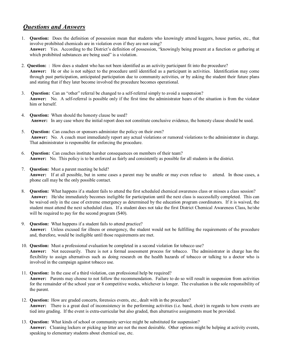## *Questions and Answers*

- 1. **Question:** Does the definition of possession mean that students who knowingly attend keggers, house parties, etc., that involve prohibited chemicals are in violation even if they are not using? **Answer:** Yes. According to the District's definition of possession, "knowingly being present at a function or gathering at which prohibited substances are being used" is a violation.
- 2. **Question:** : How does a student who has not been identified as an activity participant fit into the procedure? **Answer:** He or she is not subject to the procedure until identified as a participant in activities. Identification may come through past participation, anticipated participation due to community activities, or by asking the student their future plans and stating that if they later become involved the procedure becomes operational.
- 3. **Question:** Can an "other" referral be changed to a selfreferral simply to avoid a suspension? **Answer:** No. A selfreferral is possible only if the first time the administrator hears of the situation is from the violator him or herself.
- 4. **Question:** When should the honesty clause be used? **Answer:** In any case where the initial report does not constitute conclusive evidence, the honesty clause should be used.
- 5. **Question:** Can coaches or sponsors administer the policy on their own? **Answer:** No. A coach must immediately report any actual violations or rumored violations to the administrator in charge. That administrator is responsible for enforcing the procedure.
- 6. **Question:** Can coaches institute harsher consequences on members of their team? **Answer:** No. This policy is to be enforced as fairly and consistently as possible for all students in the district.
- 7. **Question:** Must a parent meeting be held? **Answer:** If at all possible, but in some cases a parent may be unable or may even refuse to attend. In those cases, a phone call may be the only possible contact.
- 8. **Question:** What happens if a student fails to attend the first scheduled chemical awareness class or misses a class session? **Answer:** He/she immediately becomes ineligible for participation until the next class is successfully completed. This can be waived only in the case of extreme emergency as determined by the education program coordinators. If it is waived, the student must attend the next scheduled class. If a student does not take the first District Chemical Awareness Class, he/she will be required to pay for the second program  $(\$40)$ .
- 9. **Question:** What happens if a student fails to attend practice? **Answer:** Unless excused for illness or emergency, the student would not be fulfilling the requirements of the procedure and, therefore, would be ineligible until those requirements are met.
- 10. **Question:** Must a professional evaluation be completed in a second violation for tobacco use? **Answer:** Not necessarily. There is not a formal assessment process for tobacco. The administrator in charge has the flexibility to assign alternatives such as doing research on the health hazards of tobacco or talking to a doctor who is involved in the campaign against tobacco use.
- 11. **Question:** In the case of a third violation, can professional help be required? **Answer:** Parents may choose to not follow the recommendation. Failure to do so will result in suspension from activities for the remainder of the school year or 8 competitive weeks, whichever is longer. The evaluation is the sole responsibility of the parent.
- 12. **Question:** How are graded concerts, forensics events, etc., dealt with in the procedure? **Answer:** There is a great deal of inconsistency in the performing activities (i.e. band, choir) in regards to how events are tied into grading. If the event is extra-curricular but also graded, then alternative assignments must be provided.
- 13. **Question:** What kinds of school or community service might be substituted for suspension? **Answer:** Cleaning lockers or picking up litter are not the most desirable. Other options might be helping at activity events, speaking to elementary students about chemical use, etc.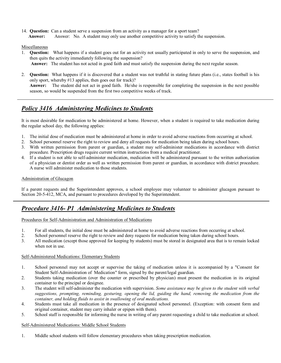14. **Question:** Can a student serve a suspension from an activity as a manager for a sport team? **Answer:** Answer: No. A student may only use another competitive activity to satisfy the suspension.

#### Miscellaneous

- 1. **Question:** What happens if a student goes out for an activity not usually participated in only to serve the suspension, and then quits the activity immediately following the suspension? **Answer:** The student has not acted in good faith and must satisfy the suspension during the next regular season.
- 2. **Question:** What happens if it is discovered that a student was not truthful in stating future plans (i.e., states football is his only sport, whereby #13 applies, then goes out for track)? **Answer:** The student did not act in good faith. He/she is responsible for completing the suspension in the next possible season, so would be suspended from the first two competitive weeks of track.

## *Policy 3416 Administering Medicines to Students*

It is most desirable for medication to be administered at home. However, when a student is required to take medication during the regular school day, the following applies:

- 1. The initial dose of medication must be administered at home in order to avoid adverse reactions from occurring at school.
- 2. School personnel reserve the right to review and deny all requests for medication being taken during school hours.
- 3. With written permission from parent or guardian, a student may self-administer medications in accordance with district procedure. Prescription drugs require current written instructions from a medical practitioner.
- 4. If a student is not able to self-administer medication, medication will be administered pursuant to the written authorization of a physician or dentist order as well as written permission from parent or guardian, in accordance with district procedure. A nurse will administer medication to those students.

#### Administration of Glucagon

If a parent requests and the Superintendent approves, a school employee may volunteer to administer glucagon pursuant to Section 20-5-412, MCA, and pursuant to procedures developed by the Superintendent.

## *Procedure 3416 P1 Administering Medicines to Students*

#### Procedures for Self-Administration and Administration of Medications

- 1. For all students, the initial dose must be administered at home to avoid adverse reactions from occurring at school.
- 2. School personnel reserve the right to review and deny requests for medication being taken during school hours.
- 3. All medication (except those approved for keeping by students) must be stored in designated area that is to remain locked when not in use.

#### Self-Administered Medications: Elementary Students

- 1. School personnel may not accept or supervise the taking of medication unless it is accompanied by a "Consent for Student Self-Administration of Medication" form, signed by the parent/legal guardian.
- 2. Students taking medication (over the counter or prescribed by physician) must present the medication in its original container to the principal or designee.
- 3. The student will selfadminister the medication with supervision. *Some assistance may be given to the student with verbal suggestions, prompting, reminding, gesturing, opening the lid, guiding the hand, removing the medication from the container, and holding fluids to assist in swallowing of oral medications.*
- 4. Students must take all medication in the presence of designated school personnel. (Exception: with consent form and original container, student may carry inhaler or epipen with them).
- 5. School staff is responsible for informing the nurse in writing of any parent requesting a child to take medication at school.

#### Self-Administered Medications: Middle School Students

1. Middle school students will follow elementary procedures when taking prescription medication.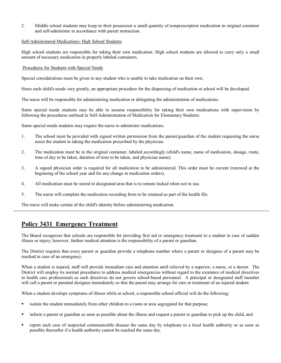2. Middle school students may keep in their possession a small quantity of nonprescription medication in original container and self-administer in accordance with parent instruction.

#### Self-Administered Medications: High School Students

High school students are responsible for taking their own medication. High school students are allowed to carry only a small amount of necessary medication in properly labeled containers.

#### Procedures for Students with Special Needs

Special considerations must be given to any student who is unable to take medication on their own.

Since each child's needs vary greatly, an appropriate procedure for the dispensing of medication at school will be developed.

The nurse will be responsible for administering medication or delegating the administration of medications.

Some special needs students may be able to assume responsibility for taking their own medications with supervision by following the procedures outlined in SelfAdministration of Medication for Elementary Students.

Some special needs students may require the nurse to administer medications.

- 1. The school must be provided with signed written permission from the parent/guardian of the student requesting the nurse assist the student in taking the medication prescribed by the physician.
- 2. The medication must be in the original container, labeled accordingly (child's name, name of medication, dosage, route, time of day to be taken, duration of time to be taken, and physician name).
- 3. A signed physician order is required for all medication to be administered. This order must be current (renewed at the beginning of the school year and for any change in medication orders).
- 4. All medication must be stored in designated area that is to remain locked when not in use.
- 5. The nurse will complete the medication recording form to be retained as part of the health file.

The nurse will make certain of the child's identity before administering medication.

# **Policy 3431 Emergency Treatment**

The Board recognizes that schools are responsible for providing first aid or emergency treatment to a student in case of sudden illness or injury; however, further medical attention is the responsibility of a parent or guardian.

The District requires that every parent or guardian provide a telephone number where a parent or designee of a parent may be reached in case of an emergency.

When a student is injured, staff will provide immediate care and attention until relieved by a superior, a nurse, or a doctor. The District will employ its normal procedures to address medical emergencies without regard to the existence of medical directives to health care professionals as such directives do not govern school-based personnel. A principal or designated staff member will call a parent or parental designee immediately so that the parent may arrange for care or treatment of an injured student.

When a student develops symptoms of illness while at school, a responsible school official will do the following:

- **In all isolate the student immediately from other children to a room or area segregated for that purpose;**
- **F** inform a parent or guardian as soon as possible about the illness and request a parent or guardian to pick up the child, and
- ß report each case of suspected communicable disease the same day by telephone to a local health authority or as soon as possible thereafter if a health authority cannot be reached the same day.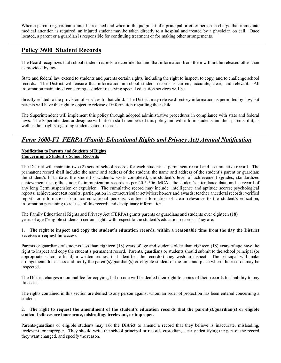When a parent or guardian cannot be reached and when in the judgment of a principal or other person in charge that immediate medical attention is required, an injured student may be taken directly to a hospital and treated by a physician on call. Once located, a parent or a guardian is responsible for continuing treatment or for making other arrangements.

# **Policy 3600 Student Records**

The Board recognizes that school student records are confidential and that information from them will not be released other than as provided by law.

State and federal law extend to students and parents certain rights, including the right to inspect, to copy, and to challenge school records. The District will ensure that information in school student records is current, accurate, clear, and relevant. All information maintained concerning a student receiving special education services will be

directly related to the provision of services to that child. The District may release directory information as permitted by law, but parents will have the right to object to release of information regarding their child.

The Superintendent will implement this policy through adopted administrative procedures in compliance with state and federal laws. The Superintendent or designee will inform staff members of this policy and will inform students and their parents of it, as well as their rights regarding student school records.

# *Form 3600F1 FERPA (Family Educational Rights and Privacy Act) Annual Notification*

#### **Notification to Parents and Students of Rights Concerning a Student's School Records**

The District will maintain two (2) sets of school records for each student: a permanent record and a cumulative record. The permanent record shall include: the name and address of the student; the name and address of the student's parent or guardian; the student's birth date; the student's academic work completed; the student's level of achievement (grades, standardized achievement tests); the student's immunization records as per 20-5-506, MCA; the student's attendance data; and a record of any long Term suspension or expulsion. The cumulative record may include: intelligence and aptitude scores; psychological reports; achievement test results; participation in extracurricular activities; honors and awards; teacher anecdotal records; verified reports or information from noneducational persons; verified information of clear relevance to the student's education; information pertaining to release of this record; and disciplinary information.

The Family Educational Rights and Privacy Act (FERPA) grants parents or guardians and students over eighteen (18) years of age ("eligible students") certain rights with respect to the student's education records. They are:

#### 1. **The right to inspect and copy the student's education records, within a reasonable time from the day the District receives a request for access.**

Parents or guardians of students less than eighteen (18) years of age and students older than eighteen (18) years of age have the right to inspect and copy the student's permanent record. Parents, guardians or students should submit to the school principal (or appropriate school official) a written request that identifies the record(s) they wish to inspect. The principal will make arrangements for access and notify the parent(s)/guardian(s) or eligible student of the time and place where the records may be inspected.

The District charges a nominal fee for copying, but no one will be denied their right to copies of their records for inability to pay this cost.

The rights contained in this section are denied to any person against whom an order of protection has been entered concerning a student.

#### 2. **The right to request the amendment of the student's education records that the parent(s)/guardian(s) or eligible student believes are inaccurate, misleading, irrelevant, or improper.**

Parents/guardians or eligible students may ask the District to amend a record that they believe is inaccurate, misleading, irrelevant, or improper. They should write the school principal or records custodian, clearly identifying the part of the record they want changed, and specify the reason.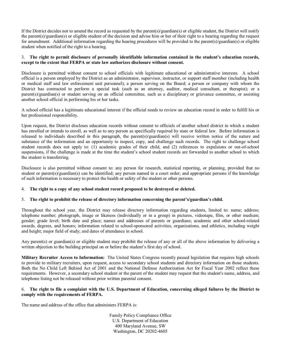If the District decides not to amend the record as requested by the parent(s)/guardian(s) or eligible student, the District will notify the parent(s)/guardian(s) or eligible student of the decision and advise him or her of their right to a hearing regarding the request for amendment. Additional information regarding the hearing procedures will be provided to the parent(s)/guardian(s) or eligible student when notified of the right to a hearing.

#### 3. **The right to permit disclosure of personally identifiable information contained in the student's education records, except to the extent that FERPA or state law authorizes disclosure without consent.**

Disclosure is permitted without consent to school officials with legitimate educational or administrative interests. A school official is a person employed by the District as an administrator, supervisor, instructor, or support staff member (including health or medical staff and law enforcement unit personnel); a person serving on the Board; a person or company with whom the District has contracted to perform a special task (such as an attorney, auditor, medical consultant, or therapist); or a parent(s)/guardian(s) or student serving on an official committee, such as a disciplinary or grievance committee, or assisting another school official in performing his or her tasks.

A school official has a legitimate educational interest if the official needs to review an education record in order to fulfill his or her professional responsibility.

Upon request, the District discloses education records without consent to officials of another school district in which a student has enrolled or intends to enroll, as well as to any person as specifically required by state or federal law. Before information is released to individuals described in this paragraph, the parent(s)/guardian(s) will receive written notice of the nature and substance of the information and an opportunity to inspect, copy, and challenge such records. The right to challenge school student records does not apply to:  $(1)$  academic grades of their child, and  $(2)$  references to expulsions or out-of-school suspensions, if the challenge is made at the time the student's school student records are forwarded to another school to which the student is transferring.

Disclosure is also permitted without consent to: any person for research, statistical reporting, or planning, provided that no student or parent(s)/guardian(s) can be identified; any person named in a court order; and appropriate persons if the knowledge of such information is necessary to protect the health or safety of the student or other persons.

#### 4. **The right to a copy of any school student record proposed to be destroyed or deleted.**

#### 5. **The right to prohibit the release of directory information concerning the parent's/guardian's child.**

Throughout the school year, the District may release directory information regarding students, limited to: name; address; telephone number; photograph, image or likeness (individually or in a group) in pictures, videotape, film, or other medium; gender; grade level; birth date and place; names and addresses of parents or guardians; academic and other schoolrelated awards, degrees, and honors; information related to school-sponsored activities, organizations, and athletics, including weight and height; major field of study; and dates of attendance in school.

Any parent(s) or guardian(s) or eligible student may prohibit the release of any or all of the above information by delivering a written objection to the building principal on or before the student's first day of school.

**Military Recruiter Access to Information:** The United States Congress recently passed legislation that requires high schools to provide to military recruiters, upon request, access to secondary school students and directory information on those students. Both the No Child Left Behind Act of 2001 and the National Defense Authorization Act for Fiscal Year 2002 reflect these requirements. However, a secondary school student or the parent of the student may request that the student's name, address, and telephone listing not be released without prior written parental consent.

#### 6. **The right to file a complaint with the U.S. Department of Education, concerning alleged failures by the District to comply with the requirements of FERPA.**

The name and address of the office that administers FERPA is:

Family Policy Compliance Office U.S. Department of Education 400 Maryland Avenue, SW Washington, DC 20202-4605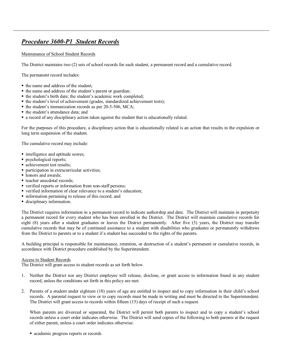# *Procedure* 3600-P1 Student Records

Maintenance of School Student Records

The District maintains two (2) sets of school records for each student, a permanent record and a cumulative record.

The permanent record includes:

- the name and address of the student;
- $\blacksquare$  the name and address of the student's parent or guardian;
- $\blacksquare$  the student's birth date; the student's academic work completed;
- $\blacksquare$  the student's level of achievement (grades, standardized achievement tests);
- $\blacksquare$  the student's immunization records as per 20-5-506, MCA;
- $\blacksquare$  the student's attendance data; and
- ß a record of any disciplinary action taken against the student that is educationally related.

For the purposes of this procedure, a disciplinary action that is educationally related is an action that results in the expulsion or long term suspension of the student.

The cumulative record may include:

- $\blacksquare$  intelligence and aptitude scores;
- **psychological reports;**
- achievement test results:
- $\blacksquare$  participation in extracurricular activities;
- honors and awards;
- $\blacksquare$  teacher anecdotal records:
- verified reports or information from non-staff persons;
- verified information of clear relevance to a student's education;
- ß information pertaining to release of this record; and
- **disciplinary information.**

The District requires information in a permanent record to indicate authorship and date. The District will maintain in perpetuity a permanent record for every student who has been enrolled in the District. The District will maintain cumulative records for eight (8) years after a student graduates or leaves the District permanently. After five (5) years, the District may transfer cumulative records that may be of continued assistance to a student with disabilities who graduates or permanently withdraws from the District to parents or to a student if a student has succeeded to the rights of the parents.

A building principal is responsible for maintenance, retention, or destruction of a student's permanent or cumulative records, in accordance with District procedure established by the Superintendent.

#### Access to Student Records

The District will grant access to student records as set forth below.

- 1. Neither the District nor any District employee will release, disclose, or grant access to information found in any student record, unless the conditions set forth in this policy are met.
- 2. Parents of a student under eighteen (18) years of age are entitled to inspect and to copy information in their child's school records. A parental request to view or to copy records must be made in writing and must be directed to the Superintendent. The District will grant access to records within fifteen (15) days of receipt of such a request.

When parents are divorced or separated, the District will permit both parents to inspect and to copy a student's school records unless a court order indicates otherwise. The District will send copies of the following to both parents at the request of either parent, unless a court order indicates otherwise:

• academic progress reports or records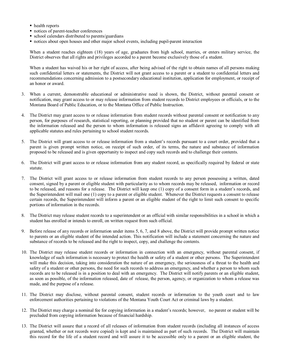- health reports
- $\blacksquare$  notices of parent-teacher conferences
- school calendars distributed to parents/guardians
- notices about open houses and other major school events, including pupil-parent interaction

When a student reaches eighteen (18) years of age, graduates from high school, marries, or enters military service, the District observes that all rights and privileges accorded to a parent become exclusively those of a student.

When a student has waived his or her right of access, after being advised of the right to obtain names of all persons making such confidential letters or statements, the District will not grant access to a parent or a student to confidential letters and recommendations concerning admission to a postsecondary educational institution, application for employment, or receipt of an honor or award.

- 3. When a current, demonstrable educational or administrative need is shown, the District, without parental consent or notification, may grant access to or may release information from student records to District employees or officials, or to the Montana Board of Public Education, or to the Montana Office of Public Instruction.
- 4. The District may grant access to or release information from student records without parental consent or notification to any person, for purposes of research, statistical reporting, or planning provided that no student or parent can be identified from the information released and the person to whom information is released signs an affidavit agreeing to comply with all applicable statutes and rules pertaining to school student records.
- 5. The District will grant access to or release information from a student's records pursuant to a court order, provided that a parent is given prompt written notice, on receipt of such order, of its terms, the nature and substance of information proposed to be released and is given opportunity to inspect and copy such records and to challenge their contents.
- 6. The District will grant access to or release information from any student record, as specifically required by federal or state statute.
- 7. The District will grant access to or release information from student records to any person possessing a written, dated consent, signed by a parent or eligible student with particularity as to whom records may be released, information or record to be released, and reasons for a release. The District will keep one (1) copy of a consent form in a student's records, and the Superintendent will mail one (1) copy to a parent or eligible student. Whenever the District requests a consent to release certain records, the Superintendent will inform a parent or an eligible student of the right to limit such consent to specific portions of information in the records.
- 8. The District may release student records to a superintendent or an official with similar responsibilities in a school in which a student has enrolled or intends to enroll, on written request from such official.
- 9. Before release of any records or information under items 5, 6, 7, and 8 above, the District will provide prompt written notice to parents or an eligible student of the intended action. This notification will include a statement concerning the nature and substance of records to be released and the right to inspect, copy, and challenge the contents.
- 10. The District may release student records or information in connection with an emergency, without parental consent, if knowledge of such information is necessary to protect the health or safety of a student or other persons. The Superintendent will make this decision, taking into consideration the nature of an emergency, the seriousness of a threat to the health and safety of a student or other persons, the need for such records to address an emergency, and whether a person to whom such records are to be released is in a position to deal with an emergency. The District will notify parents or an eligible student, as soon as possible, of the information released, date of release, the person, agency, or organization to whom a release was made, and the purpose of a release.
- 11. The District may disclose, without parental consent, student records or information to the youth court and to law enforcement authorities pertaining to violations of the Montana Youth Court Act or criminal laws by a student.
- 12. The District may charge a nominal fee for copying information in a student's records; however, no parent or student will be precluded from copying information because of financial hardship.
- 13. The District will assure that a record of all releases of information from student records (including all instances of access granted, whether or not records were copied) is kept and is maintained as part of such records. The District will maintain this record for the life of a student record and will assure it to be accessible only to a parent or an eligible student, the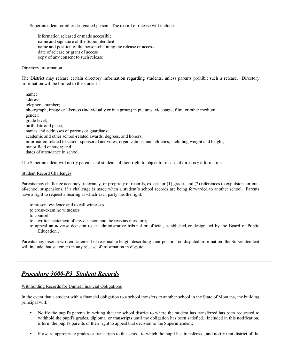Superintendent, or other designated person. The record of release will include:

information released or made accessible name and signature of the Superintendent name and position of the person obtaining the release or access date of release or grant of access copy of any consent to such release

#### Directory Information

The District may release certain directory information regarding students, unless parents prohibit such a release. Directory information will be limited to the student's:

name; address; telephone number; photograph, image or likeness (individually or in a group) in pictures, videotape, film, or other medium; gender; grade level; birth date and place; names and addresses of parents or guardians; academic and other school-related awards, degrees, and honors; information related to school-sponsored activities, organizations, and athletics, including weight and height; major field of study; and dates of attendance in school.

The Superintendent will notify parents and students of their right to object to release of directory information.

#### Student Record Challenges

Parents may challenge accuracy, relevancy, or propriety of records, except for (1) grades and (2) references to expulsions or out of-school suspensions, if a challenge is made when a student's school records are being forwarded to another school. Parents have a right to request a hearing at which each party has the right:

- to present evidence and to call witnesses
- to cross-examine witnesses
- to counsel
- to a written statement of any decision and the reasons therefore;
- to appeal an adverse decision to an administrative tribunal or official, established or designated by the Board of Public **Education**

Parents may insert a written statement of reasonable length describing their position on disputed information; the Superintendent will include that statement in any release of information in dispute.

# *Procedure* 3600-P3 Student Records

#### Withholding Records for Unmet Financial Obligations

In the event that a student with a financial obligation to a school transfers to another school in the State of Montana, the building principal will:

- ß Notify the pupil's parents in writing that the school district to where the student has transferred has been requested to withhold the pupil's grades, diploma, or transcripts until the obligation has been satisfied. Included in this notification, inform the pupil's parents of their right to appeal that decision to the Superintendent;
- ß Forward appropriate grades or transcripts to the school to which the pupil has transferred, and notify that district of the